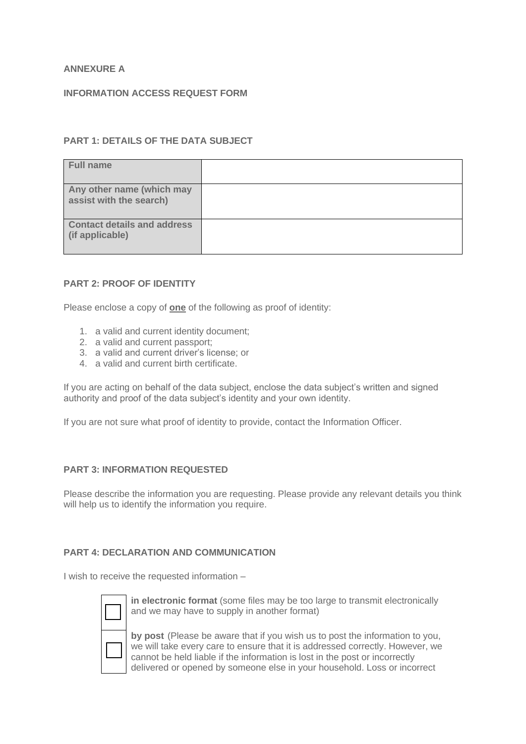# **ANNEXURE A**

#### **INFORMATION ACCESS REQUEST FORM**

# **PART 1: DETAILS OF THE DATA SUBJECT**

| <b>Full name</b>                                      |  |
|-------------------------------------------------------|--|
| Any other name (which may<br>assist with the search)  |  |
| <b>Contact details and address</b><br>(if applicable) |  |

#### **PART 2: PROOF OF IDENTITY**

Please enclose a copy of **one** of the following as proof of identity:

- 1. a valid and current identity document;
- 2. a valid and current passport;
- 3. a valid and current driver's license; or
- 4. a valid and current birth certificate.

If you are acting on behalf of the data subject, enclose the data subject's written and signed authority and proof of the data subject's identity and your own identity.

If you are not sure what proof of identity to provide, contact the Information Officer.

## **PART 3: INFORMATION REQUESTED**

Please describe the information you are requesting. Please provide any relevant details you think will help us to identify the information you require.

## **PART 4: DECLARATION AND COMMUNICATION**

I wish to receive the requested information –



**in electronic format** (some files may be too large to transmit electronically and we may have to supply in another format)

**by post** (Please be aware that if you wish us to post the information to you, we will take every care to ensure that it is addressed correctly. However, we cannot be held liable if the information is lost in the post or incorrectly delivered or opened by someone else in your household. Loss or incorrect